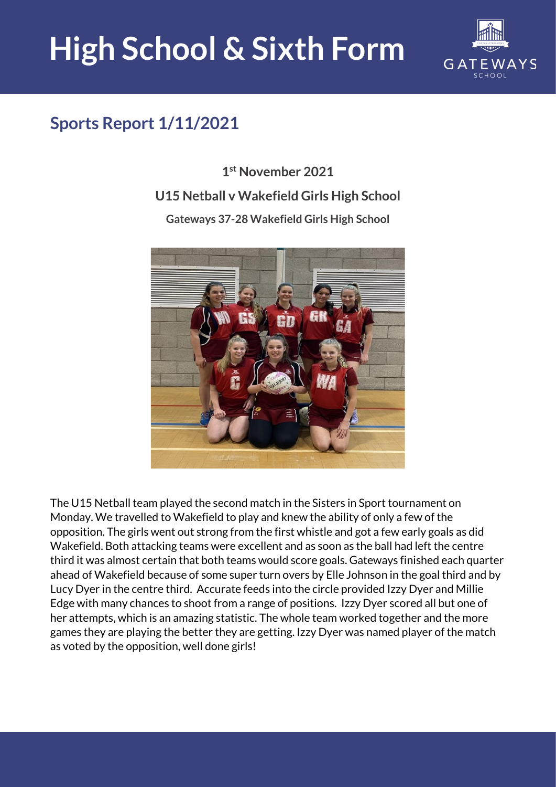## **High School & Sixth Form**



## **Sports Report 1/11/2021**

**1 st November 2021 U15 Netball v Wakefield Girls High School Gateways 37-28 Wakefield Girls High School**



The U15 Netball team played the second match in the Sisters in Sport tournament on Monday. We travelled to Wakefield to play and knew the ability of only a few of the opposition. The girls went out strong from the first whistle and got a few early goals as did Wakefield. Both attacking teams were excellent and as soon as the ball had left the centre third it was almost certain that both teams would score goals. Gateways finished each quarter ahead of Wakefield because of some super turn overs by Elle Johnson in the goal third and by Lucy Dyer in the centre third. Accurate feeds into the circle provided Izzy Dyer and Millie Edge with many chances to shoot from a range of positions. Izzy Dyer scored all but one of her attempts, which is an amazing statistic. The whole team worked together and the more games they are playing the better they are getting. Izzy Dyer was named player of the match as voted by the opposition, well done girls!